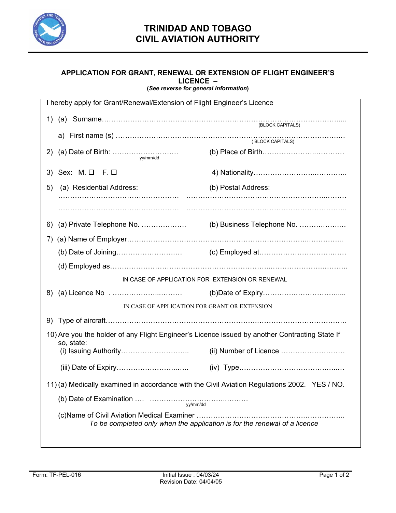

## **APPLICATION FOR GRANT, RENEWAL OR EXTENSION OF FLIGHT ENGINEER'S LICENCE – (***See reverse for general information***)**

| I hereby apply for Grant/Renewal/Extension of Flight Engineer's Licence                                      |                                                                           |                            |  |  |  |  |  |  |
|--------------------------------------------------------------------------------------------------------------|---------------------------------------------------------------------------|----------------------------|--|--|--|--|--|--|
|                                                                                                              |                                                                           |                            |  |  |  |  |  |  |
|                                                                                                              |                                                                           |                            |  |  |  |  |  |  |
|                                                                                                              |                                                                           |                            |  |  |  |  |  |  |
|                                                                                                              | 3) Sex: M. O F. O                                                         |                            |  |  |  |  |  |  |
| 5)                                                                                                           | (a) Residential Address:                                                  | (b) Postal Address:        |  |  |  |  |  |  |
|                                                                                                              |                                                                           |                            |  |  |  |  |  |  |
| 6)                                                                                                           |                                                                           | (b) Business Telephone No. |  |  |  |  |  |  |
| 7)                                                                                                           |                                                                           |                            |  |  |  |  |  |  |
|                                                                                                              |                                                                           |                            |  |  |  |  |  |  |
|                                                                                                              |                                                                           |                            |  |  |  |  |  |  |
| IN CASE OF APPLICATION FOR EXTENSION OR RENEWAL                                                              |                                                                           |                            |  |  |  |  |  |  |
|                                                                                                              |                                                                           |                            |  |  |  |  |  |  |
| IN CASE OF APPLICATION FOR GRANT OR EXTENSION                                                                |                                                                           |                            |  |  |  |  |  |  |
|                                                                                                              |                                                                           |                            |  |  |  |  |  |  |
| 10) Are you the holder of any Flight Engineer's Licence issued by another Contracting State If<br>so, state: |                                                                           |                            |  |  |  |  |  |  |
|                                                                                                              |                                                                           |                            |  |  |  |  |  |  |
|                                                                                                              |                                                                           |                            |  |  |  |  |  |  |
| 11) (a) Medically examined in accordance with the Civil Aviation Regulations 2002. YES / NO.                 |                                                                           |                            |  |  |  |  |  |  |
|                                                                                                              |                                                                           |                            |  |  |  |  |  |  |
|                                                                                                              | To be completed only when the application is for the renewal of a licence |                            |  |  |  |  |  |  |